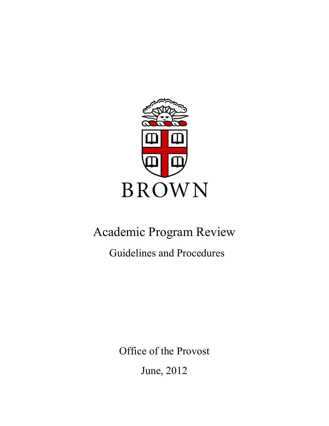

# Academic Program Review

Guidelines and Procedures

Office of the Provost

June, 2012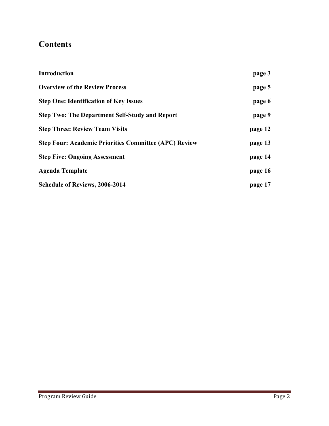# **Contents**

| <b>Introduction</b>                                          | page 3  |
|--------------------------------------------------------------|---------|
| <b>Overview of the Review Process</b>                        | page 5  |
| <b>Step One: Identification of Key Issues</b>                | page 6  |
| <b>Step Two: The Department Self-Study and Report</b>        | page 9  |
| <b>Step Three: Review Team Visits</b>                        | page 12 |
| <b>Step Four: Academic Priorities Committee (APC) Review</b> | page 13 |
| <b>Step Five: Ongoing Assessment</b>                         | page 14 |
| <b>Agenda Template</b>                                       | page 16 |
| <b>Schedule of Reviews, 2006-2014</b>                        | page 17 |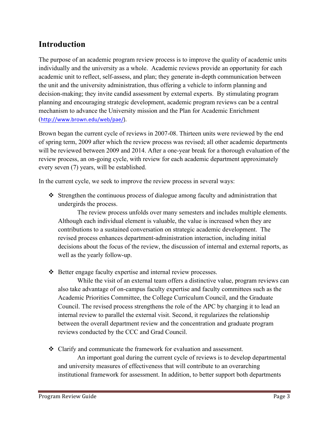# **Introduction**

The purpose of an academic program review process is to improve the quality of academic units individually and the university as a whole. Academic reviews provide an opportunity for each academic unit to reflect, self-assess, and plan; they generate in-depth communication between the unit and the university administration, thus offering a vehicle to inform planning and decision-making; they invite candid assessment by external experts. By stimulating program planning and encouraging strategic development, academic program reviews can be a central mechanism to advance the University mission and the Plan for Academic Enrichment (http://www.brown.edu/web/pae/).

Brown began the current cycle of reviews in 2007-08. Thirteen units were reviewed by the end of spring term, 2009 after which the review process was revised; all other academic departments will be reviewed between 2009 and 2014. After a one-year break for a thorough evaluation of the review process, an on-going cycle, with review for each academic department approximately every seven (7) years, will be established.

In the current cycle, we seek to improve the review process in several ways:

 $\div$  Strengthen the continuous process of dialogue among faculty and administration that undergirds the process.

The review process unfolds over many semesters and includes multiple elements. Although each individual element is valuable, the value is increased when they are contributions to a sustained conversation on strategic academic development. The revised process enhances department-administration interaction, including initial decisions about the focus of the review, the discussion of internal and external reports, as well as the yearly follow-up.

❖ Better engage faculty expertise and internal review processes.

While the visit of an external team offers a distinctive value, program reviews can also take advantage of on-campus faculty expertise and faculty committees such as the Academic Priorities Committee, the College Curriculum Council, and the Graduate Council. The revised process strengthens the role of the APC by charging it to lead an internal review to parallel the external visit. Second, it regularizes the relationship between the overall department review and the concentration and graduate program reviews conducted by the CCC and Grad Council.

• Clarify and communicate the framework for evaluation and assessment.

An important goal during the current cycle of reviews is to develop departmental and university measures of effectiveness that will contribute to an overarching institutional framework for assessment. In addition, to better support both departments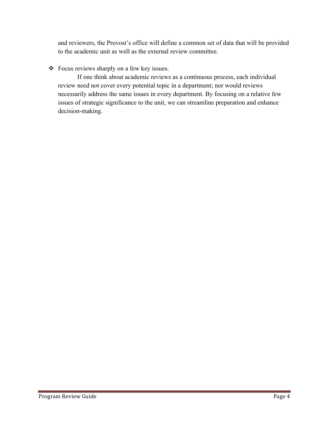and reviewers, the Provost's office will define a common set of data that will be provided to the academic unit as well as the external review committee.

#### ! Focus reviews sharply on a few key issues.

If one think about academic reviews as a continuous process, each individual review need not cover every potential topic in a department; nor would reviews necessarily address the same issues in every department. By focusing on a relative few issues of strategic significance to the unit, we can streamline preparation and enhance decision-making.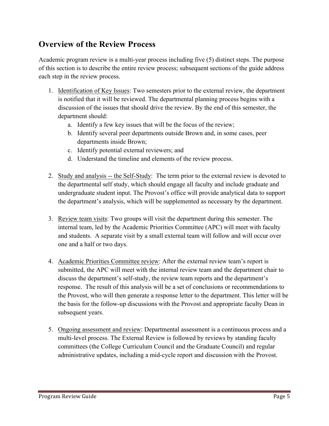# **Overview of the Review Process**

Academic program review is a multi-year process including five (5) distinct steps. The purpose of this section is to describe the entire review process; subsequent sections of the guide address each step in the review process.

- 1. Identification of Key Issues: Two semesters prior to the external review, the department is notified that it will be reviewed. The departmental planning process begins with a discussion of the issues that should drive the review. By the end of this semester, the department should:
	- a. Identify a few key issues that will be the focus of the review;
	- b. Identify several peer departments outside Brown and, in some cases, peer departments inside Brown;
	- c. Identify potential external reviewers; and
	- d. Understand the timeline and elements of the review process.
- 2. Study and analysis -- the Self-Study: The term prior to the external review is devoted to the departmental self study, which should engage all faculty and include graduate and undergraduate student input. The Provost's office will provide analytical data to support the department's analysis, which will be supplemented as necessary by the department.
- 3. Review team visits: Two groups will visit the department during this semester. The internal team, led by the Academic Priorities Committee (APC) will meet with faculty and students. A separate visit by a small external team will follow and will occur over one and a half or two days.
- 4. Academic Priorities Committee review: After the external review team's report is submitted, the APC will meet with the internal review team and the department chair to discuss the department's self-study, the review team reports and the department's response. The result of this analysis will be a set of conclusions or recommendations to the Provost, who will then generate a response letter to the department. This letter will be the basis for the follow-up discussions with the Provost and appropriate faculty Dean in subsequent years.
- 5. Ongoing assessment and review: Departmental assessment is a continuous process and a multi-level process. The External Review is followed by reviews by standing faculty committees (the College Curriculum Council and the Graduate Council) and regular administrative updates, including a mid-cycle report and discussion with the Provost.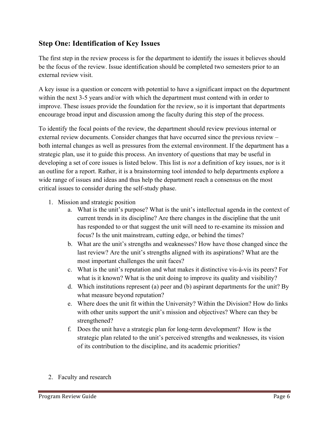### **Step One: Identification of Key Issues**

The first step in the review process is for the department to identify the issues it believes should be the focus of the review. Issue identification should be completed two semesters prior to an external review visit.

A key issue is a question or concern with potential to have a significant impact on the department within the next 3-5 years and/or with which the department must contend with in order to improve. These issues provide the foundation for the review, so it is important that departments encourage broad input and discussion among the faculty during this step of the process.

To identify the focal points of the review, the department should review previous internal or external review documents. Consider changes that have occurred since the previous review – both internal changes as well as pressures from the external environment. If the department has a strategic plan, use it to guide this process. An inventory of questions that may be useful in developing a set of core issues is listed below. This list is *not* a definition of key issues, nor is it an outline for a report. Rather, it is a brainstorming tool intended to help departments explore a wide range of issues and ideas and thus help the department reach a consensus on the most critical issues to consider during the self-study phase.

- 1. Mission and strategic position
	- a. What is the unit's purpose? What is the unit's intellectual agenda in the context of current trends in its discipline? Are there changes in the discipline that the unit has responded to or that suggest the unit will need to re-examine its mission and focus? Is the unit mainstream, cutting edge, or behind the times?
	- b. What are the unit's strengths and weaknesses? How have those changed since the last review? Are the unit's strengths aligned with its aspirations? What are the most important challenges the unit faces?
	- c. What is the unit's reputation and what makes it distinctive vis-à-vis its peers? For what is it known? What is the unit doing to improve its quality and visibility?
	- d. Which institutions represent (a) peer and (b) aspirant departments for the unit? By what measure beyond reputation?
	- e. Where does the unit fit within the University? Within the Division? How do links with other units support the unit's mission and objectives? Where can they be strengthened?
	- f. Does the unit have a strategic plan for long-term development? How is the strategic plan related to the unit's perceived strengths and weaknesses, its vision of its contribution to the discipline, and its academic priorities?
- 2. Faculty and research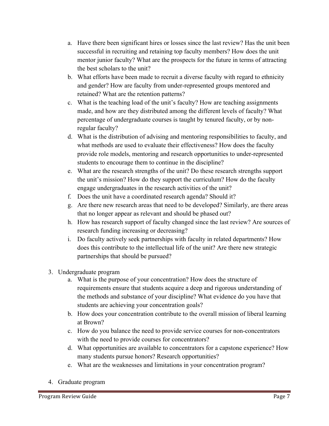- a. Have there been significant hires or losses since the last review? Has the unit been successful in recruiting and retaining top faculty members? How does the unit mentor junior faculty? What are the prospects for the future in terms of attracting the best scholars to the unit?
- b. What efforts have been made to recruit a diverse faculty with regard to ethnicity and gender? How are faculty from under-represented groups mentored and retained? What are the retention patterns?
- c. What is the teaching load of the unit's faculty? How are teaching assignments made, and how are they distributed among the different levels of faculty? What percentage of undergraduate courses is taught by tenured faculty, or by nonregular faculty?
- d. What is the distribution of advising and mentoring responsibilities to faculty, and what methods are used to evaluate their effectiveness? How does the faculty provide role models, mentoring and research opportunities to under-represented students to encourage them to continue in the discipline?
- e. What are the research strengths of the unit? Do these research strengths support the unit's mission? How do they support the curriculum? How do the faculty engage undergraduates in the research activities of the unit?
- f. Does the unit have a coordinated research agenda? Should it?
- g. Are there new research areas that need to be developed? Similarly, are there areas that no longer appear as relevant and should be phased out?
- h. How has research support of faculty changed since the last review? Are sources of research funding increasing or decreasing?
- i. Do faculty actively seek partnerships with faculty in related departments? How does this contribute to the intellectual life of the unit? Are there new strategic partnerships that should be pursued?
- 3. Undergraduate program
	- a. What is the purpose of your concentration? How does the structure of requirements ensure that students acquire a deep and rigorous understanding of the methods and substance of your discipline? What evidence do you have that students are achieving your concentration goals?
	- b. How does your concentration contribute to the overall mission of liberal learning at Brown?
	- c. How do you balance the need to provide service courses for non-concentrators with the need to provide courses for concentrators?
	- d. What opportunities are available to concentrators for a capstone experience? How many students pursue honors? Research opportunities?
	- e. What are the weaknesses and limitations in your concentration program?
- 4. Graduate program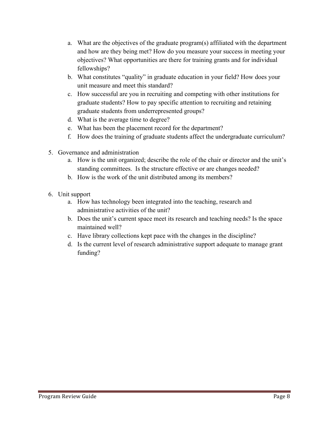- a. What are the objectives of the graduate program(s) affiliated with the department and how are they being met? How do you measure your success in meeting your objectives? What opportunities are there for training grants and for individual fellowships?
- b. What constitutes "quality" in graduate education in your field? How does your unit measure and meet this standard?
- c. How successful are you in recruiting and competing with other institutions for graduate students? How to pay specific attention to recruiting and retaining graduate students from underrepresented groups?
- d. What is the average time to degree?
- e. What has been the placement record for the department?
- f. How does the training of graduate students affect the undergraduate curriculum?
- 5. Governance and administration
	- a. How is the unit organized; describe the role of the chair or director and the unit's standing committees. Is the structure effective or are changes needed?
	- b. How is the work of the unit distributed among its members?
- 6. Unit support
	- a. How has technology been integrated into the teaching, research and administrative activities of the unit?
	- b. Does the unit's current space meet its research and teaching needs? Is the space maintained well?
	- c. Have library collections kept pace with the changes in the discipline?
	- d. Is the current level of research administrative support adequate to manage grant funding?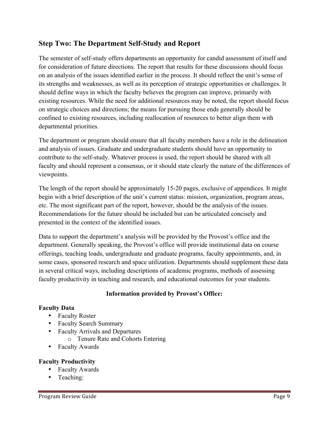### **Step Two: The Department Self-Study and Report**

The semester of self-study offers departments an opportunity for candid assessment of itself and for consideration of future directions. The report that results for these discussions should focus on an analysis of the issues identified earlier in the process. It should reflect the unit's sense of its strengths and weaknesses, as well as its perception of strategic opportunities or challenges. It should define ways in which the faculty believes the program can improve, primarily with existing resources. While the need for additional resources may be noted, the report should focus on strategic choices and directions; the means for pursuing those ends generally should be confined to existing resources, including reallocation of resources to better align them with departmental priorities.

The department or program should ensure that all faculty members have a role in the delineation and analysis of issues. Graduate and undergraduate students should have an opportunity to contribute to the self-study. Whatever process is used, the report should be shared with all faculty and should represent a consensus, or it should state clearly the nature of the differences of viewpoints.

The length of the report should be approximately 15-20 pages, exclusive of appendices. It might begin with a brief description of the unit's current status: mission, organization, program areas, etc. The most significant part of the report, however, should be the analysis of the issues. Recommendations for the future should be included but can be articulated concisely and presented in the context of the identified issues.

Data to support the department's analysis will be provided by the Provost's office and the department. Generally speaking, the Provost's office will provide institutional data on course offerings, teaching loads, undergraduate and graduate programs, faculty appointments, and, in some cases, sponsored research and space utilization. Departments should supplement these data in several critical ways, including descriptions of academic programs, methods of assessing faculty productivity in teaching and research, and educational outcomes for your students.

#### **Information provided by Provost's Office:**

#### **Faculty Data**

- Faculty Roster
- Faculty Search Summary
- Faculty Arrivals and Departures
	- o Tenure Rate and Cohorts Entering
- Faculty Awards

#### **Faculty Productivity**

- Faculty Awards
- Teaching: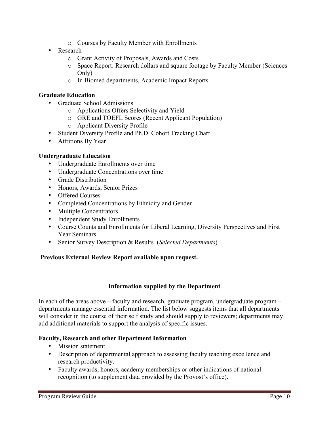- o Courses by Faculty Member with Enrollments
- Research
	- o Grant Activity of Proposals, Awards and Costs
	- o Space Report: Research dollars and square footage by Faculty Member (Sciences Only)
	- o In Biomed departments, Academic Impact Reports

#### **Graduate Education**

- Graduate School Admissions
	- o Applications Offers Selectivity and Yield
	- o GRE and TOEFL Scores (Recent Applicant Population)
	- o Applicant Diversity Profile
- Student Diversity Profile and Ph.D. Cohort Tracking Chart
- Attritions By Year

#### **Undergraduate Education**

- Undergraduate Enrollments over time
- Undergraduate Concentrations over time
- Grade Distribution
- Honors, Awards, Senior Prizes
- Offered Courses
- Completed Concentrations by Ethnicity and Gender
- Multiple Concentrators
- Independent Study Enrollments
- Course Counts and Enrollments for Liberal Learning, Diversity Perspectives and First Year Seminars
- Senior Survey Description & Results (*Selected Departments*)

#### **Previous External Review Report available upon request.**

#### **Information supplied by the Department**

In each of the areas above – faculty and research, graduate program, undergraduate program – departments manage essential information. The list below suggests items that all departments will consider in the course of their self study and should supply to reviewers; departments may add additional materials to support the analysis of specific issues.

#### **Faculty, Research and other Department Information**

- Mission statement.
- Description of departmental approach to assessing faculty teaching excellence and research productivity.
- Faculty awards, honors, academy memberships or other indications of national recognition (to supplement data provided by the Provost's office).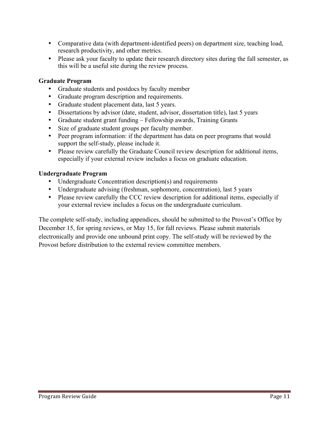- Comparative data (with department-identified peers) on department size, teaching load, research productivity, and other metrics.
- Please ask your faculty to update their research directory sites during the fall semester, as this will be a useful site during the review process.

#### **Graduate Program**

- Graduate students and postdocs by faculty member
- Graduate program description and requirements.
- Graduate student placement data, last 5 years.
- Dissertations by advisor (date, student, advisor, dissertation title), last 5 years
- Graduate student grant funding Fellowship awards, Training Grants
- Size of graduate student groups per faculty member.
- Peer program information: if the department has data on peer programs that would support the self-study, please include it.
- Please review carefully the Graduate Council review description for additional items, especially if your external review includes a focus on graduate education.

#### **Undergraduate Program**

- Undergraduate Concentration description(s) and requirements
- Undergraduate advising (freshman, sophomore, concentration), last 5 years
- Please review carefully the CCC review description for additional items, especially if your external review includes a focus on the undergraduate curriculum.

The complete self-study, including appendices, should be submitted to the Provost's Office by December 15, for spring reviews, or May 15, for fall reviews. Please submit materials electronically and provide one unbound print copy. The self-study will be reviewed by the Provost before distribution to the external review committee members.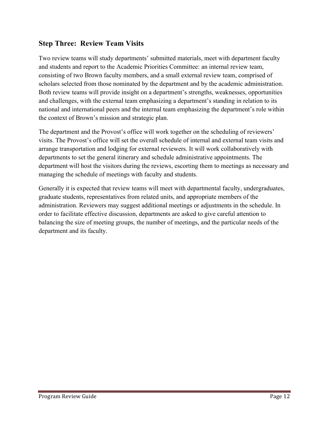### **Step Three: Review Team Visits**

Two review teams will study departments' submitted materials, meet with department faculty and students and report to the Academic Priorities Committee: an internal review team, consisting of two Brown faculty members, and a small external review team, comprised of scholars selected from those nominated by the department and by the academic administration. Both review teams will provide insight on a department's strengths, weaknesses, opportunities and challenges, with the external team emphasizing a department's standing in relation to its national and international peers and the internal team emphasizing the department's role within the context of Brown's mission and strategic plan.

The department and the Provost's office will work together on the scheduling of reviewers' visits. The Provost's office will set the overall schedule of internal and external team visits and arrange transportation and lodging for external reviewers. It will work collaboratively with departments to set the general itinerary and schedule administrative appointments. The department will host the visitors during the reviews, escorting them to meetings as necessary and managing the schedule of meetings with faculty and students.

Generally it is expected that review teams will meet with departmental faculty, undergraduates, graduate students, representatives from related units, and appropriate members of the administration. Reviewers may suggest additional meetings or adjustments in the schedule. In order to facilitate effective discussion, departments are asked to give careful attention to balancing the size of meeting groups, the number of meetings, and the particular needs of the department and its faculty.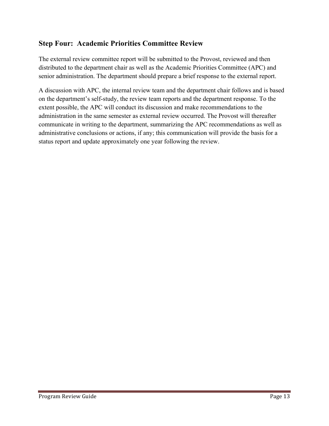## **Step Four: Academic Priorities Committee Review**

The external review committee report will be submitted to the Provost, reviewed and then distributed to the department chair as well as the Academic Priorities Committee (APC) and senior administration. The department should prepare a brief response to the external report.

A discussion with APC, the internal review team and the department chair follows and is based on the department's self-study, the review team reports and the department response. To the extent possible, the APC will conduct its discussion and make recommendations to the administration in the same semester as external review occurred. The Provost will thereafter communicate in writing to the department, summarizing the APC recommendations as well as administrative conclusions or actions, if any; this communication will provide the basis for a status report and update approximately one year following the review.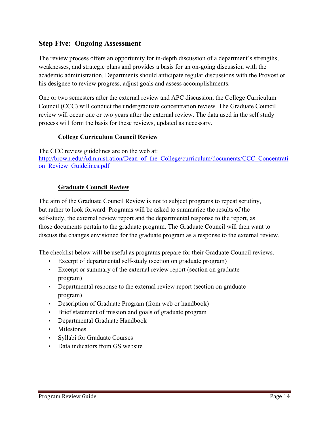### **Step Five: Ongoing Assessment**

The review process offers an opportunity for in-depth discussion of a department's strengths, weaknesses, and strategic plans and provides a basis for an on-going discussion with the academic administration. Departments should anticipate regular discussions with the Provost or his designee to review progress, adjust goals and assess accomplishments.

One or two semesters after the external review and APC discussion, the College Curriculum Council (CCC) will conduct the undergraduate concentration review. The Graduate Council review will occur one or two years after the external review. The data used in the self study process will form the basis for these reviews, updated as necessary.

#### **College Curriculum Council Review**

The CCC review guidelines are on the web at: http://brown.edu/Administration/Dean\_of\_the\_College/curriculum/documents/CCC\_Concentrati on Review Guidelines.pdf

#### **Graduate Council Review**

The aim of the Graduate Council Review is not to subject programs to repeat scrutiny, but rather to look forward. Programs will be asked to summarize the results of the self-study, the external review report and the departmental response to the report, as those documents pertain to the graduate program. The Graduate Council will then want to discuss the changes envisioned for the graduate program as a response to the external review.

The checklist below will be useful as programs prepare for their Graduate Council reviews.

- Excerpt of departmental self-study (section on graduate program)
- Excerpt or summary of the external review report (section on graduate program)
- Departmental response to the external review report (section on graduate program)
- Description of Graduate Program (from web or handbook)
- Brief statement of mission and goals of graduate program
- Departmental Graduate Handbook
- Milestones
- Syllabi for Graduate Courses
- Data indicators from GS website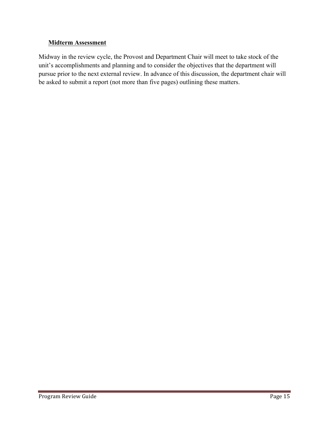#### **Midterm Assessment**

Midway in the review cycle, the Provost and Department Chair will meet to take stock of the unit's accomplishments and planning and to consider the objectives that the department will pursue prior to the next external review. In advance of this discussion, the department chair will be asked to submit a report (not more than five pages) outlining these matters.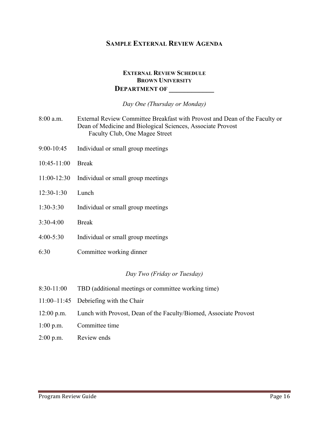#### **SAMPLE EXTERNAL REVIEW AGENDA**

#### **EXTERNAL REVIEW SCHEDULE BROWN UNIVERSITY DEPARTMENT OF \_\_\_\_\_\_\_\_\_\_\_\_**

*Day One (Thursday or Monday)*

- 8:00 a.m. External Review Committee Breakfast with Provost and Dean of the Faculty or Dean of Medicine and Biological Sciences, Associate Provost Faculty Club, One Magee Street
- 9:00-10:45 Individual or small group meetings
- 10:45-11:00 Break
- 11:00-12:30 Individual or small group meetings
- 12:30-1:30 Lunch
- 1:30-3:30 Individual or small group meetings
- 3:30-4:00 Break
- 4:00-5:30 Individual or small group meetings
- 6:30 Committee working dinner

#### *Day Two (Friday or Tuesday)*

- 8:30-11:00 TBD (additional meetings or committee working time)
- 11:00–11:45 Debriefing with the Chair
- 12:00 p.m. Lunch with Provost, Dean of the Faculty/Biomed, Associate Provost
- 1:00 p.m. Committee time
- 2:00 p.m. Review ends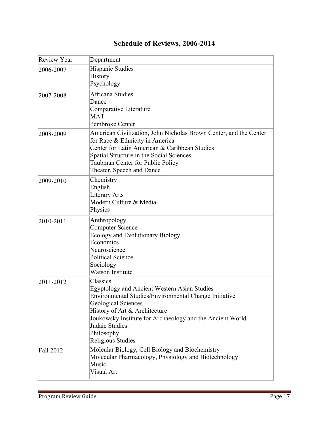| <b>Review Year</b> | Department                                                                                                                                                                                                                                                                                                |
|--------------------|-----------------------------------------------------------------------------------------------------------------------------------------------------------------------------------------------------------------------------------------------------------------------------------------------------------|
| 2006-2007          | <b>Hispanic Studies</b><br>History<br>Psychology                                                                                                                                                                                                                                                          |
| 2007-2008          | Africana Studies<br>Dance<br>Comparative Literature<br>MAT<br>Pembroke Center                                                                                                                                                                                                                             |
| 2008-2009          | American Civilization, John Nicholas Brown Center, and the Center<br>for Race & Ethnicity in America<br>Center for Latin American & Caribbean Studies<br>Spatial Structure in the Social Sciences<br>Taubman Center for Public Policy<br>Theater, Speech and Dance                                        |
| 2009-2010          | Chemistry<br>English<br><b>Literary Arts</b><br>Modern Culture & Media<br>Physics                                                                                                                                                                                                                         |
| 2010-2011          | Anthropology<br><b>Computer Science</b><br><b>Ecology and Evolutionary Biology</b><br>Economics<br>Neuroscience<br><b>Political Science</b><br>Sociology<br><b>Watson Institute</b>                                                                                                                       |
| 2011-2012          | Classics<br><b>Egyptology and Ancient Western Asian Studies</b><br>Environmental Studies/Environmental Change Initiative<br><b>Geological Sciences</b><br>History of Art & Architecture<br>Joukowsky Institute for Archaeology and the Ancient World<br>Judaic Studies<br>Philosophy<br>Religious Studies |
| Fall 2012          | Moleular Biology, Cell Biology and Biochemistry<br>Molecular Pharmacology, Physiology and Biotechnology<br>Music<br>Visual Art                                                                                                                                                                            |

# **Schedule of Reviews, 2006-2014**